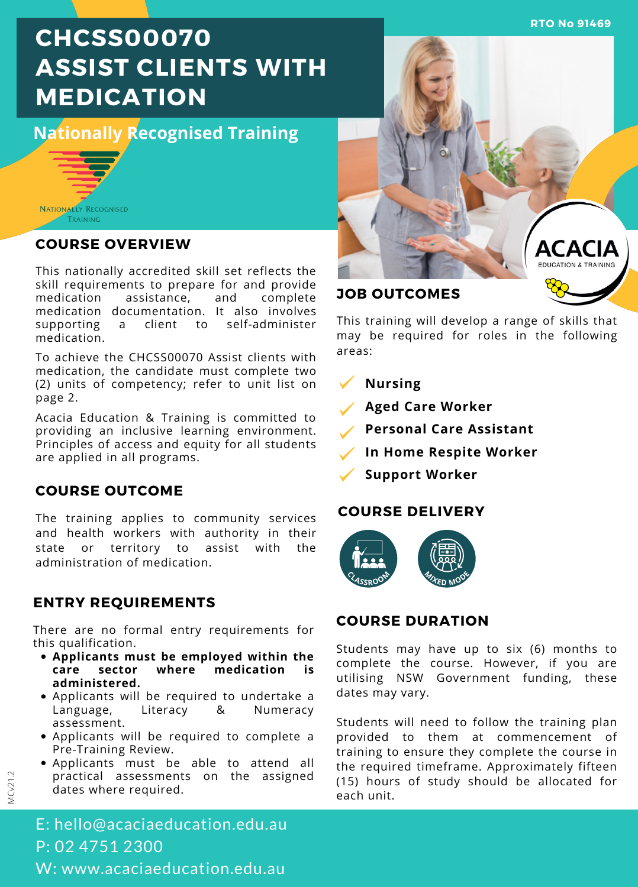**RTO No 91469**

# **CHCSS00070 ASSIST CLIENTS WITH MEDICATION**

**Nationally Recognised Training**



### **COURSE OVERVIEW**

This nationally accredited skill set reflects the skill requirements to prepare for and provide<br>medication assistance, and complete assistance, medication documentation. It also involves<br>supporting a client to self-administer a client to self-administer medication.

To achieve the CHCSS00070 Assist clients with medication, the candidate must complete two (2) units of competency; refer to unit list on page 2.

Acacia Education & Training is committed to providing an inclusive learning environment. Principles of access and equity for all students are applied in all programs.

### **COURSE OUTCOME**

The training applies to community services and health workers with authority in their state or territory to assist with the administration of medication.

### **ENTRY REQUIREMENTS**

There are no formal entry requirements for this qualification.

- **Applicants must be employed within the care sector where medication is administered.**
- Applicants will be required to undertake a Language, Literacy & Numeracy assessment.
- Applicants will be required to complete a Pre-Training Review.
- Applicants must be able to attend all practical assessments on the assigned dates where required.

E: hello@acaciaeducation.edu.au P: 02 4751 2300 W: www.acaciaeducation.edu.au



This training will develop a range of skills that may be required for roles in the following areas:

**Nursing**

**Aged Care Worker**

- **Personal Care Assistant**
- **In Home Respite Worker**
- **Support Worker**

### **COURSE DELIVERY**



### **COURSE DURATION**

Students may have up to six (6) months to complete the course. However, if you are utilising NSW Government funding, these dates may vary.

Students will need to follow the training plan provided to them at commencement of training to ensure they complete the course in the required timeframe. Approximately fifteen (15) hours of study should be allocated for each unit.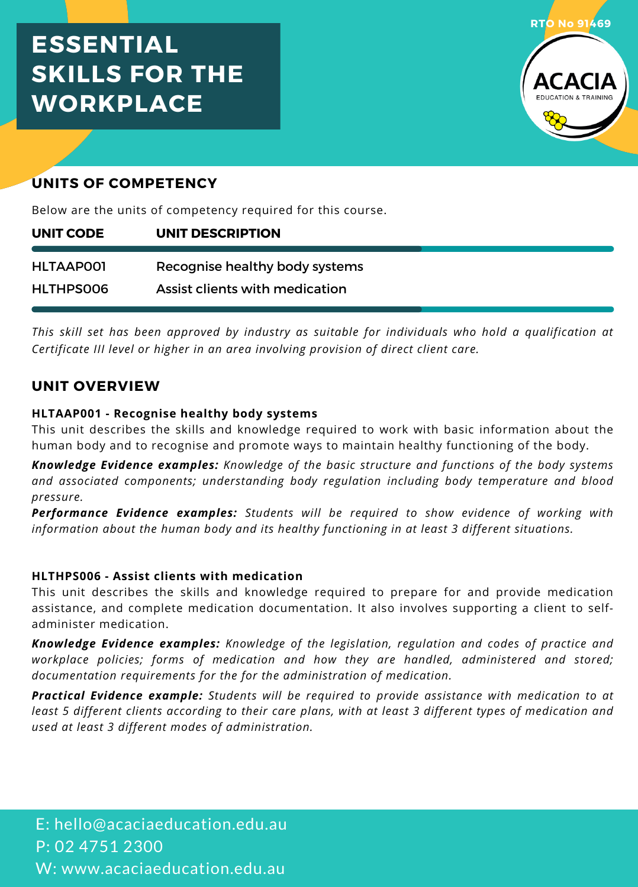# **ESSENTIAL SKILLS FOR THE WORKPLACE**



### **UNITS OF COMPETENCY**

Below are the units of competency required for this course.

| UNIT CODE | UNIT DESCRIPTION               |  |
|-----------|--------------------------------|--|
| HLTAAP001 | Recognise healthy body systems |  |
| HLTHPS006 | Assist clients with medication |  |

*This skill set has been approved by industry as suitable for individuals who hold a qualification at Certificate III level or higher in an area involving provision of direct client care.*

### **UNIT OVERVIEW**

### **HLTAAP001 - Recognise healthy body systems**

This unit describes the skills and knowledge required to work with basic information about the human body and to recognise and promote ways to maintain healthy functioning of the body.

*Knowledge Evidence examples: Knowledge of the basic structure and functions of the body systems and associated components; understanding body regulation including body temperature and blood pressure.*

*Performance Evidence examples: Students will be required to show evidence of working with information about the human body and its healthy functioning in atleast 3 different situations.*

### **HLTHPS006 - Assist clients with medication**

This unit describes the skills and knowledge required to prepare for and provide medication assistance, and complete medication documentation. It also involves supporting a client to self administer medication.

*Knowledge Evidence examples: Knowledge of the legislation, regulation and codes of practice and workplace policies; forms of medication and how they are handled, administered and stored; documentation requirements for the for the administration ofmedication.*

*Practical Evidence example: Students will be required to provide assistance with medication to at* least 5 different clients according to their care plans, with at least 3 different types of medication and *used at least 3 different modes of administration.*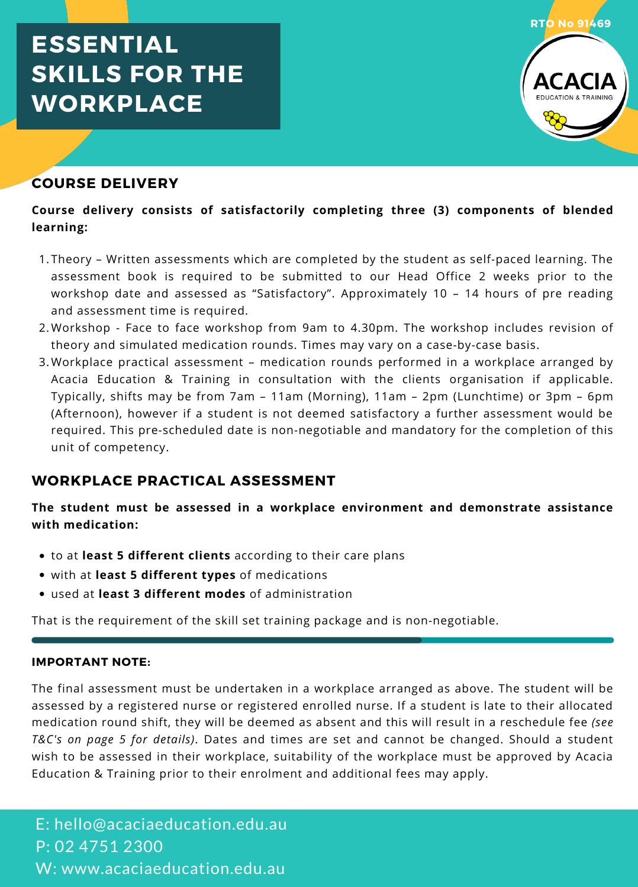# **ESSENTIAL SKILLS FOR THE WORKPLACE**



### **COURSE DELIVERY**

### **Course delivery consists of satisfactorily completing three (3) components of blended learning:**

- Theory Written assessments which are completed by the student as self-paced learning. The 1. assessment book is required to be submitted to our Head Office 2 weeks prior to the workshop date and assessed as "Satisfactory". Approximately 10 – 14 hours of pre reading and assessment time is required.
- Workshop Face to face workshop from 9am to 4.30pm. The workshop includes revision of 2. theory and simulated medication rounds. Times may vary on a case-by-case basis.
- 3.Workplace practical assessment medication rounds performed in a workplace arranged by Acacia Education & Training in consultation with the clients organisation if applicable. Typically, shifts may be from 7am – 11am (Morning), 11am – 2pm (Lunchtime) or 3pm – 6pm (Afternoon), however if a student is not deemed satisfactory a further assessment would be required. This pre-scheduled date is non-negotiable and mandatory for the completion of this unit of competency.

### **WORKPLACE PRACTICAL ASSESSMENT**

**The student must be assessed in a workplace environment and demonstrate assistance with medication:**

- to at **least 5 different clients** according to their care plans
- with at **least 5 different types** of medications
- used at **least 3 different modes** of administration

That is the requirement of the skill set training package and is non-negotiable.

#### **IMPORTANT NOTE:**

The final assessment must be undertaken in a workplace arranged as above. The student will be assessed by a registered nurse or registered enrolled nurse. If a student is late to their allocated medication round shift, they will be deemed as absent and this will result in a reschedule fee *(see T&C's on page 5 for details)*. Dates and times are set and cannot be changed. Should a student wish to be assessed in their workplace, suitability of the workplace must be approved by Acacia Education & Training prior to their enrolment and additional fees may apply.

E: hello@acaciaeducation.edu.au P: 02 4751 2300 W: www.acaciaeducation.edu.au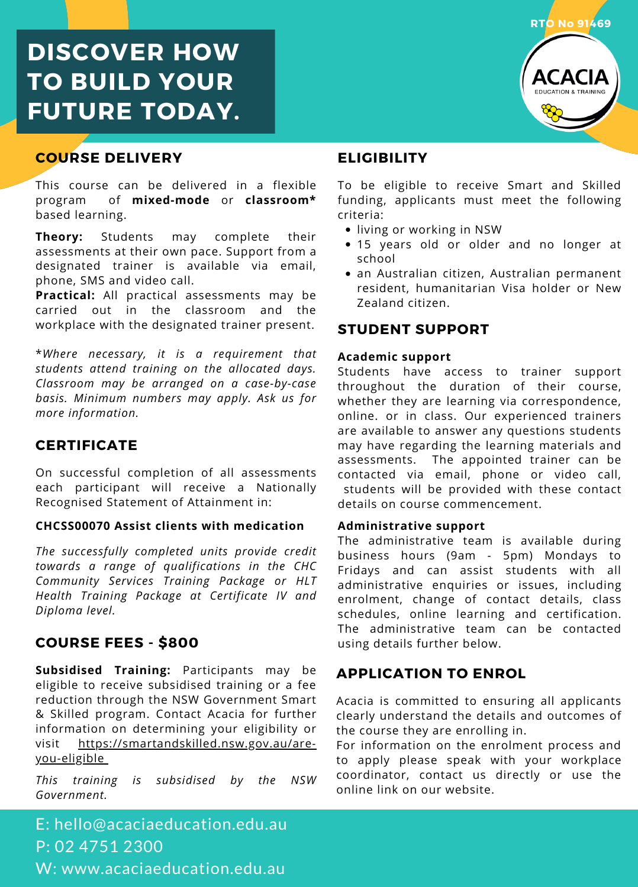# **DISCOVER HOW TO BUILD YOUR FUTURE TODAY.**

### **COURSE DELIVERY**

This course can be delivered in a flexible program of **mixed-mode** or **classroom\*** based learning.

**Theory:** Students may complete their assessments at their own pace. Support from a designated trainer is available via email, phone, SMS and video call.

**Practical:** All practical assessments may be carried out in the classroom and the workplace with the designated trainer present.

\**Where necessary, it is a requirement that students attend training on the allocated days. Classroom may be arranged on a case-by-case basis. Minimum numbers may apply. Ask us for more information.*

### **CERTIFICATE**

On successful completion of all assessments each participant will receive a Nationally Recognised Statement of Attainment in:

#### **CHCSS00070 Assist clients with medication**

*The successfully completed units provide credit towards a range of qualifications in the CHC Community Services Training Package or HLT Health Training Package at Certificate IV and Diploma level.*

### **COURSE FEES - \$800**

**Subsidised Training:** Participants may be eligible to receive subsidised training or a fee reduction through the NSW Government Smart & Skilled program. Contact Acacia for further information on determining your eligibility or visit [https://smartandskilled.nsw.gov.au/are](https://smartandskilled.nsw.gov.au/are-you-eligible)you-eligible

*This training is subsidised by the NSW Government.*

### E: hello@acaciaeducation.edu.au P: 02 4751 2300 W: www.acaciaeducation.edu.au



### **ELIGIBILITY**

To be eligible to receive Smart and Skilled funding, applicants must meet the following criteria:

- living or working in NSW
- 15 years old or older and no longer at school
- an Australian citizen, Australian permanent resident, humanitarian Visa holder or New Zealand citizen.

### **STUDENT SUPPORT**

#### **Academic support**

Students have access to trainer support throughout the duration of their course, whether they are learning via correspondence, online. or in class. Our experienced trainers are available to answer any questions students may have regarding the learning materials and assessments. The appointed trainer can be contacted via email, phone or video call, students will be provided with these contact details on course commencement.

#### **Administrative support**

The administrative team is available during business hours (9am - 5pm) Mondays to Fridays and can assist students with all administrative enquiries or issues, including enrolment, change of contact details, class schedules, online learning and certification. The administrative team can be contacted using details further below.

### **APPLICATION TO ENROL**

Acacia is committed to ensuring all applicants clearly understand the details and outcomes of the course they are enrolling in.

For information on the enrolment process and to apply please speak with your workplace coordinator, contact us directly or use the online link on our website.